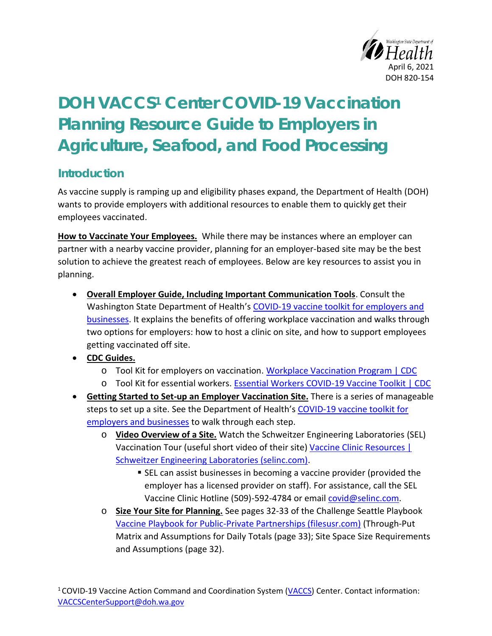

## **DOH VACCS<sup>1</sup> Center COVID-19 Vaccination Planning Resource Guide to Employers in Agriculture, Seafood, and Food Processing**

## **Introduction**

As vaccine supply is ramping up and eligibility phases expand, the Department of Health (DOH) wants to provide employers with additional resources to enable them to quickly get their employees vaccinated.

**How to Vaccinate Your Employees.** While there may be instances where an employer can partner with a nearby vaccine provider, planning for an employer-based site may be the best solution to achieve the greatest reach of employees. Below are key resources to assist you in planning.

- **Overall Employer Guide, Including Important Communication Tools**. Consult the Washington State Department of Health's [COVID-19 vaccine toolkit for employers and](https://coronavirus.wa.gov/covid-19-vaccines-toolkit-businesses-and-employers)  [businesses.](https://coronavirus.wa.gov/covid-19-vaccines-toolkit-businesses-and-employers) It explains the benefits of offering workplace vaccination and walks through two options for employers: how to host a clinic on site, and how to support employees getting vaccinated off site.
- **CDC Guides.**
	- o Tool Kit for employers on vaccination. [Workplace Vaccination Program | CDC](https://www.cdc.gov/coronavirus/2019-ncov/vaccines/recommendations/essentialworker/workplace-vaccination-program.html)
	- o Tool Kit for essential workers. [Essential Workers COVID-19 Vaccine Toolkit | CDC](https://www.cdc.gov/coronavirus/2019-ncov/vaccines/toolkits/essential-workers.html)
- **Getting Started to Set-up an Employer Vaccination Site.** There is a series of manageable steps to set up a site. See the Department of Health's COVID-19 vaccine toolkit for [employers and businesses](https://coronavirus.wa.gov/covid-19-vaccines-toolkit-businesses-and-employers) to walk through each step.
	- o **Video Overview of a Site.** Watch the Schweitzer Engineering Laboratories (SEL) Vaccination Tour (useful short video of their site) [Vaccine Clinic Resources |](https://selinc.com/company/vaccine-clinic-resources/)  [Schweitzer Engineering Laboratories \(selinc.com\).](https://selinc.com/company/vaccine-clinic-resources/)
		- SEL can assist businesses in becoming a vaccine provider (provided the employer has a licensed provider on staff). For assistance, call the SEL Vaccine Clinic Hotline (509)-592-4784 or email [covid@selinc.com.](mailto:covid@selinc.com)
	- o **Size Your Site for Planning.** See pages 32-33 of the Challenge Seattle Playbook [Vaccine Playbook for Public-Private Partnerships \(filesusr.com\)](https://21652974-25d8-4ff1-bbc0-8687c8ec1f64.filesusr.com/ugd/e29733_85ddb1ac8ee54759a971e885f1b6b32c.pdf) (Through-Put Matrix and Assumptions for Daily Totals (page 33); Site Space Size Requirements and Assumptions (page 32).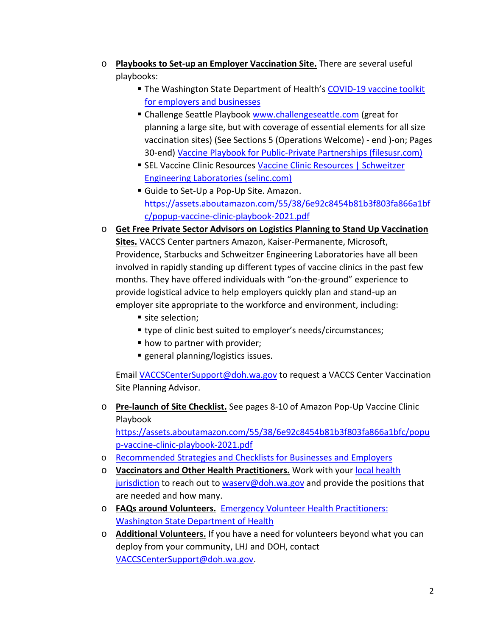- o **Playbooks to Set-up an Employer Vaccination Site.** There are several useful playbooks:
	- The Washington State Department of Health's COVID-19 vaccine toolkit [for employers and businesses](https://coronavirus.wa.gov/covid-19-vaccines-toolkit-businesses-and-employers)
	- **E** Challenge Seattle Playbook [www.challengeseattle.com](http://www.challengeseattle.com/) (great for planning a large site, but with coverage of essential elements for all size vaccination sites) (See Sections 5 (Operations Welcome) - end )-on; Pages 30-end) [Vaccine Playbook for Public-Private Partnerships \(filesusr.com\)](https://21652974-25d8-4ff1-bbc0-8687c8ec1f64.filesusr.com/ugd/e29733_85ddb1ac8ee54759a971e885f1b6b32c.pdf)
	- **EXEL Vaccine Clinic Resources Vaccine Clinic Resources | Schweitzer** [Engineering Laboratories \(selinc.com\)](https://selinc.com/company/vaccine-clinic-resources/)
	- **E** Guide to Set-Up a Pop-Up Site. Amazon. [https://assets.aboutamazon.com/55/38/6e92c8454b81b3f803fa866a1bf](https://gcc02.safelinks.protection.outlook.com/?url=https%3A%2F%2Fassets.aboutamazon.com%2F55%2F38%2F6e92c8454b81b3f803fa866a1bfc%2Fpopup-vaccine-clinic-playbook-2021.pdf&data=04%7C01%7CDan.Laster%40doh.wa.gov%7C15c60b2d5c154fb300d108d8ecd8446a%7C11d0e217264e400a8ba057dcc127d72d%7C0%7C0%7C637519761214703367%7CUnknown%7CTWFpbGZsb3d8eyJWIjoiMC4wLjAwMDAiLCJQIjoiV2luMzIiLCJBTiI6Ik1haWwiLCJXVCI6Mn0%3D%7C1000&sdata=375thCmh1YHGEPU8FIqmSC%2FqT%2FynTrCpD7%2BQHS4gjH8%3D&reserved=0) [c/popup-vaccine-clinic-playbook-2021.pdf](https://gcc02.safelinks.protection.outlook.com/?url=https%3A%2F%2Fassets.aboutamazon.com%2F55%2F38%2F6e92c8454b81b3f803fa866a1bfc%2Fpopup-vaccine-clinic-playbook-2021.pdf&data=04%7C01%7CDan.Laster%40doh.wa.gov%7C15c60b2d5c154fb300d108d8ecd8446a%7C11d0e217264e400a8ba057dcc127d72d%7C0%7C0%7C637519761214703367%7CUnknown%7CTWFpbGZsb3d8eyJWIjoiMC4wLjAwMDAiLCJQIjoiV2luMzIiLCJBTiI6Ik1haWwiLCJXVCI6Mn0%3D%7C1000&sdata=375thCmh1YHGEPU8FIqmSC%2FqT%2FynTrCpD7%2BQHS4gjH8%3D&reserved=0)
- o **Get Free Private Sector Advisors on Logistics Planning to Stand Up Vaccination Sites.** VACCS Center partners Amazon, Kaiser-Permanente, Microsoft, Providence, Starbucks and Schweitzer Engineering Laboratories have all been involved in rapidly standing up different types of vaccine clinics in the past few months. They have offered individuals with "on-the-ground" experience to provide logistical advice to help employers quickly plan and stand-up an employer site appropriate to the workforce and environment, including:
	- site selection;
	- type of clinic best suited to employer's needs/circumstances;
	- how to partner with provider;
	- general planning/logistics issues.

Email [VACCSCenterSupport@doh.wa.gov](mailto:VACCSCenterSupport@doh.wa.gov) to request a VACCS Center Vaccination Site Planning Advisor.

o **Pre-launch of Site Checklist.** See pages 8-10 of Amazon Pop-Up Vaccine Clinic Playbook

[https://assets.aboutamazon.com/55/38/6e92c8454b81b3f803fa866a1bfc/popu](https://assets.aboutamazon.com/55/38/6e92c8454b81b3f803fa866a1bfc/popup-vaccine-clinic-playbook-2021.pdf) [p-vaccine-clinic-playbook-2021.pdf](https://assets.aboutamazon.com/55/38/6e92c8454b81b3f803fa866a1bfc/popup-vaccine-clinic-playbook-2021.pdf)

- o [Recommended Strategies and Checklists for Businesses and Employers](https://coronavirus.wa.gov/covid-19-vaccines-toolkit-businesses-and-employers#2)
- o **Vaccinators and Other Health Practitioners.** Work with your [local health](https://www.doh.wa.gov/AboutUs/PublicHealthSystem/LocalHealthJurisdictions)  [jurisdiction](https://www.doh.wa.gov/AboutUs/PublicHealthSystem/LocalHealthJurisdictions) to reach out to [waserv@doh.wa.gov](mailto:waserv@doh.wa.gov) and provide the positions that are needed and how many.
- o **FAQs around Volunteers.** [Emergency Volunteer Health Practitioners:](https://www.doh.wa.gov/Emergencies/COVID19/HealthcareProviders/EmergencyVolunteerHealthPractitioners#heading41328) [Washington State Department of Health](https://www.doh.wa.gov/Emergencies/COVID19/HealthcareProviders/EmergencyVolunteerHealthPractitioners#heading41328)
- o **Additional Volunteers.** If you have a need for volunteers beyond what you can deploy from your community, LHJ and DOH, contact [VACCSCenterSupport@doh.wa.gov.](mailto:VACCSCenterSupport@doh.wa.gov)